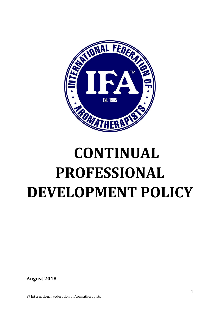

# **CONTINUAL PROFESSIONAL DEVELOPMENT POLICY**

**August 2018**

© International Federation of Aromatherapists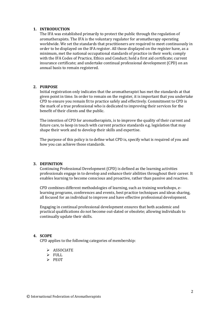# **1. INTRODUCTION**

The IFA was established primarily to protect the public through the regulation of aromatherapists. The IFA is the voluntary regulator for aromatherapy operating worldwide. We set the standards that practitioners are required to meet continuously in order to be displayed on the IFA register. All those displayed on the register have, as a minimum, met the national occupational standards of practice in their work; comply with the IFA Codes of Practice, Ethics and Conduct; hold a first aid certificate; current insurance certificate; and undertake continual professional development (CPD) on an annual basis to remain registered.

# **2. PURPOSE**

Initial registration only indicates that the aromatherapist has met the standards at that given point in time. In order to remain on the register, it is important that you undertake CPD to ensure you remain fit to practice safely and effectively. Commitment to CPD is the mark of a true professional who is dedicated to improving their services for the benefit of their clients and the public.

The intention of CPD for aromatherapists, is to improve the quality of their current and future care, to keep in touch with current practice standards e.g. legislation that may shape their work and to develop their skills and expertise.

The purpose of this policy is to define what CPD is, specify what is required of you and how you can achieve those standards.

#### **3. DEFINITION**

Continuing Professional Development (CPD) is defined as the learning activities professionals engage in to develop and enhance their abilities throughout their career. It enables learning to become conscious and proactive, rather than passive and reactive.

CPD combines different methodologies of learning, such as training workshops, elearning programs, conferences and events, best practice techniques and ideas sharing, all focused for an individual to improve and have effective professional development.

Engaging in continual professional development ensures that both academic and practical qualifications do not become out-dated or obsolete; allowing individuals to continually update their skills.

### **4. SCOPE**

CPD applies to the following categories of membership:

- $\triangleright$  ASSOCIATE
- $\triangleright$  FULL
- > PEOT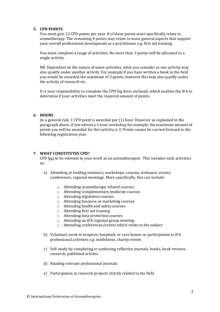# **5. CPD POINTS**

You must gain 12 CPD points per year. 8 of these points must specifically relate to aromatherapy. The remaining 4 points may relate to more general aspects that support your overall professional development as a practitioner e.g. first aid training.

You must complete a range of activities. No more than 3 points will be allocated to a single activity.

NB. Dependent on the nature of some activities, what you consider as one activity may also qualify under another activity. For example if you have written a book in the field you would be awarded the maximum of 3 points, however this may also qualify under the activity of research etc.

It is your responsibility to complete the CPD log form enclosed, which enables the IFA to determine if your activities meet the required amount of points.

# **6. HOURS**

As a general rule, 1 CPD point is awarded per (1) hour. However as explained in the paragraph above, if you attend a 6 hour workshop for example, the maximum amount of points you will be awarded for this activity is 3. Points cannot be carried forward to the following registration year.

# **7. WHAT CONSTITUTES CPD?**

CPD has to be relevant to your work as an aromatherapist. This includes such activities as:

- a) Attending or holding seminars, workshops, courses, webinars, events, conferences, regional meetings. More specifically, this can include:
	- o Attending aromatherapy related courses
	- o Attending complementary medicine courses
	- o Attending legislation courses
	- o Attending business or marketing courses
	- o Attending health and safety courses
	- o Attending first aid training
	- o Attending data protection courses
	- o Attending an IFA regional group meeting
	- o Attending conferences/events which relate to the subject
- b) Voluntary work in hospices, hospitals, or care homes or participation in IFA professional activities e.g. exhibitions, charity events
- c) Self-study by completing or authoring reflective journals, books, book reviews, research, published articles.
- d) Reading relevant professional journals
- e) Participation in research projects strictly related to the field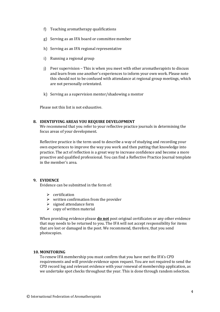- f) Teaching aromatherapy qualifications
- g) Serving as an IFA board or committee member
- h) Serving as an IFA regional representative
- i) Running a regional group
- j) Peer supervision This is when you meet with other aromatherapists to discuss and learn from one another's experiences to inform your own work. Please note this should not to be confused with attendance at regional group meetings, which are not personally orientated.
- k) Serving as a supervision mentor/shadowing a mentor

Please not this list is not exhaustive.

# **8. IDENTIFYING AREAS YOU REQUIRE DEVELOPMENT**

We recommend that you refer to your reflective practice journals in determining the focus areas of your development.

Reflective practice is the term used to describe a way of studying and recording your own experiences to improve the way you work and then putting that knowledge into practice. The act of reflection is a great way to increase confidence and become a more proactive and qualified professional. You can find a Reflective Practice Journal template in the member's area.

# **9. EVIDENCE**

Evidence can be submitted in the form of:

- $\triangleright$  certification
- $\triangleright$  written confirmation from the provider
- $\triangleright$  signed attendance form
- $\geq$  copy of written material

When providing evidence please **do not** post original certificates or any other evidence that may needs to be returned to you. The IFA will not accept responsibility for items that are lost or damaged in the post. We recommend, therefore, that you send photocopies.

# **10. MONITORING**

To renew IFA membership you must confirm that you have met the IFA's CPD requirements and will provide evidence upon request. You are not required to send the CPD record log and relevant evidence with your renewal of membership application, as we undertake spot checks throughout the year. This is done through random selection.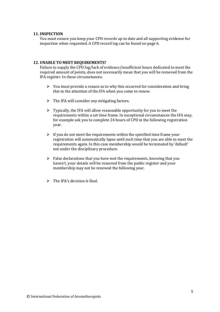# **11. INSPECTION**

You must ensure you keep your CPD records up to date and all supporting evidence for inspection when requested. A CPD record log can be found on page 6.

# **12. UNABLE TO MEET REQUIREMENTS?**

Failure to supply the CPD log/lack of evidence/insufficient hours dedicated to meet the required amount of points, does not necessarily mean that you will be removed from the IFA register. In these circumstances:

- $\triangleright$  You must provide a reason as to why this occurred for consideration and bring this to the attention of the IFA when you come to renew.
- $\triangleright$  The IFA will consider any mitigating factors.
- $\triangleright$  Typically, the IFA will allow reasonable opportunity for you to meet the requirements within a set time frame. In exceptional circumstances the IFA may, for example ask you to complete 24 hours of CPD in the following registration year.
- $\triangleright$  If you do not meet the requirements within the specified time frame your registration will automatically lapse until such time that you are able to meet the requirements again. In this case membership would be terminated by 'default' not under the disciplinary procedure.
- $\triangleright$  False declarations that you have met the requirements, knowing that you haven't, your details will be removed from the public register and your membership may not be renewed the following year.
- $\triangleright$  The IFA's decision is final.